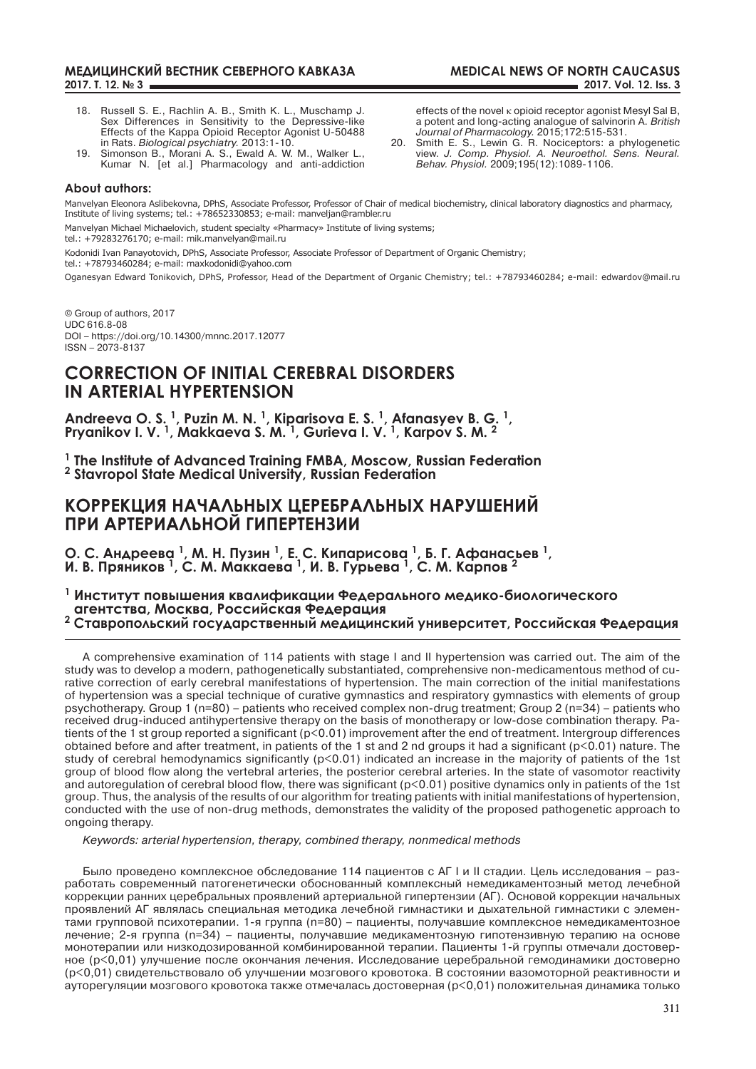## **МЕДИЦИНСКИЙ ВЕСТНИК СЕВЕРНОГО КАВКАЗА 2017. Т. 12. № 3**

- Russell S. E., Rachlin A. B., Smith K. L., Muschamp J. Sex Differences in Sensitivity to the Depressive-like Effects of the Kappa Opioid Receptor Agonist U-50488 in Rats. *Biological psychiatry.* 2013:1-10.
- 19. Simonson B., Morani A. S., Ewald A. W. M., Walker L., Kumar N. [et al.] Pharmacology and anti-addiction

effects of the novel κ opioid receptor agonist Mesyl Sal B, a potent and long-acting analogue of salvinorin A. *British Journal of Pharmacology.* 2015;172:515-531.

20. Smith E. S., Lewin G. R. Nociceptors: a phylogenetic view. *J. Comp. Physiol. A. Neuroethol. Sens. Neural. Behav. Physiol.* 2009;195(12):1089-1106.

## **About authors:**

Manvelyan Eleonora Aslibekovna, DPhS, Associate Professor, Professor of Сhair of medical biochemistry, clinical laboratory diagnostics and pharmacy, Institute of living systems; tel.: +78652330853; e-mаil: manveljan@rambler.ru

Manvelyan Michael Michaelovich, student specialty «Pharmacy» Institute of living systems;

tel.: +79283276170; e-mаil: mik.manvelyan@mail.ru

Kodonidi Ivan Panayotovich, DPhS, Associate Professor, Associate Professor of Department of Organic Chemistry;

tel.: +78793460284; e-mаil: maxkodonidi@yahoo.com

Oganesyan Edward Tonikovich, DPhS, Professor, Head of the Department of Organic Chemistry; tel.: +78793460284; e-mаil: edwardov@mail.ru

© Group of authors, 2017 UDC 616.8-08 DOI – https://doi.org/10.14300/mnnc.2017.12077 ISSN – 2073-8137

# **CORRECTION OF INITIAL CEREBRAL DISORDERS IN ARTERIAL HYPERTENSION**

**Andreeva O. S. <sup>1</sup>, Puzin M. N. <sup>1</sup>, Kiparisova E. S. <sup>1</sup>, Afanasyev B. G. 1, Pryanikov I. V. <sup>1</sup>, Makkaeva S. M. <sup>1</sup>, Gurieva I. V. <sup>1</sup>, Karpov S. M. <sup>2</sup>**

**<sup>1</sup> The Institute of Advanced Training FMBA, Moscow, Russian Federation 2 Stavropol State Medical University, Russian Federation**

## **КОРРЕКЦИЯ НАЧАЛЬНЫХ ЦЕРЕБРАЛЬНЫХ НАРУШЕНИЙ ПРИ АРТЕРИАЛЬНОЙ ГИПЕРТензИИ**

**О. С. Андреева <sup>1</sup>, М. Н. Пузин <sup>1</sup>, Е. С. Кипарисова <sup>1</sup>, Б. Г. Афанасьев 1, И. В. Пряников <sup>1</sup>, С. М. Маккаева <sup>1</sup>, И. В. Гурьева <sup>1</sup>, С. М. Карпов <sup>2</sup>**

# **<sup>1</sup> Институт повышения квалификации Федерального медико-биологического**

 **агентства, Москва, Российская Федерация <sup>2</sup> Ставропольский государственный медицинский университет, Российская Федерация**

A comprehensive examination of 114 patients with stage I and II hypertension was carried out. The aim of the study was to develop a modern, pathogenetically substantiated, comprehensive non-medicamentous method of curative correction of early cerebral manifestations of hypertension. The main correction of the initial manifestations of hypertension was a special technique of curative gymnastics and respiratory gymnastics with elements of group psychotherapy. Group 1 (n=80) – patients who received complex non-drug treatment; Group 2 (n=34) – patients who received drug-induced antihypertensive therapy on the basis of monotherapy or low-dose combination therapy. Patients of the 1 st group reported a significant (p<0.01) improvement after the end of treatment. Intergroup differences obtained before and after treatment, in patients of the 1 st and 2 nd groups it had a significant ( $p$ <0.01) nature. The study of cerebral hemodynamics significantly ( $p\leq 0.01$ ) indicated an increase in the majority of patients of the 1st group of blood flow along the vertebral arteries, the posterior cerebral arteries. In the state of vasomotor reactivity and autoregulation of cerebral blood flow, there was significant (p<0.01) positive dynamics only in patients of the 1st group. Thus, the analysis of the results of our algorithm for treating patients with initial manifestations of hypertension, conducted with the use of non-drug methods, demonstrates the validity of the proposed pathogenetic approach to ongoing therapy.

*Keywords: arterial hypertension, therapy, combined therapy, nonmedical methods*

Было проведено комплексное обследование 114 пациентов с АГ I и II стадии. Цель исследования – разработать современный патогенетически обоснованный комплексный немедикаментозный метод лечебной коррекции ранних церебральных проявлений артериальной гипертензии (АГ). Основой коррекции начальных проявлений АГ являлась специальная методика лечебной гимнастики и дыхательной гимнастики с элементами групповой психотерапии. 1-я группа (n=80) – пациенты, получавшие комплексное немедикаментозное лечение; 2-я группа (n=34) – пациенты, получавшие медикаментозную гипотензивную терапию на основе монотерапии или низкодозированной комбинированной терапии. Пациенты 1-й группы отмечали достоверное (p<0,01) улучшение после окончания лечения. Исследование церебральной гемодинамики достоверно (p<0,01) свидетельствовало об улучшении мозгового кровотока. В состоянии вазомоторной реактивности и ауторегуляции мозгового кровотока также отмечалась достоверная (p<0,01) положительная динамика только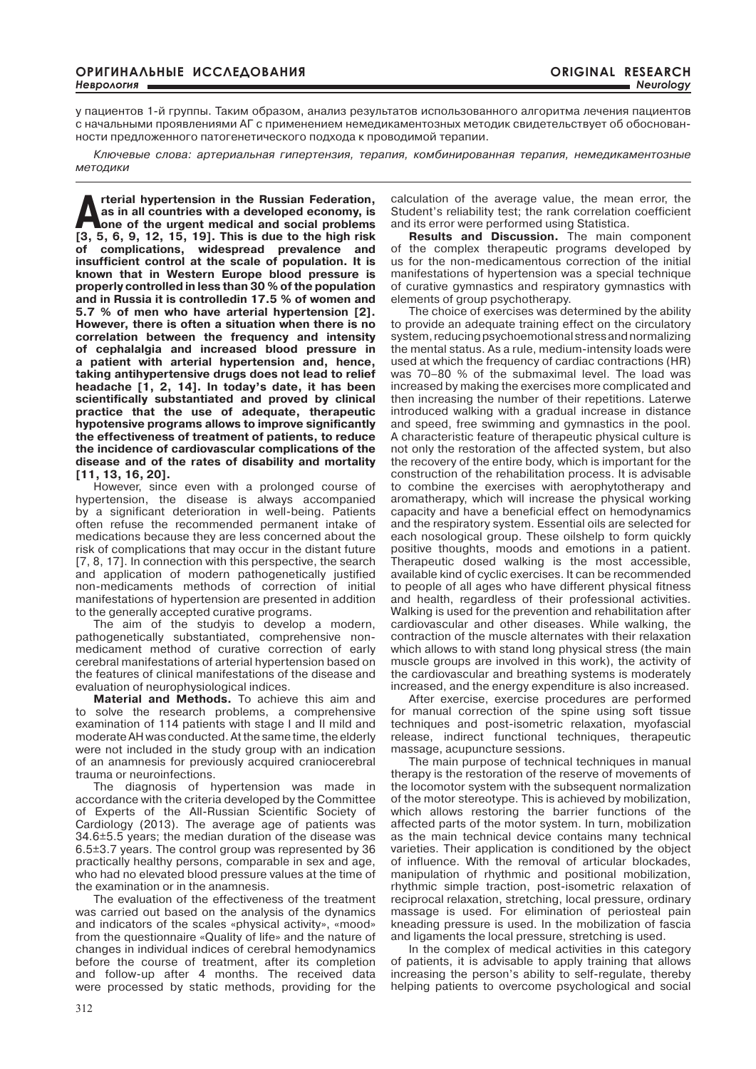у пациентов 1-й группы. Таким образом, анализ результатов использованного алгоритма лечения пациентов с начальными проявлениями АГ с применением немедикаментозных методик свидетельствует об обоснованности предложенного патогенетического подхода к проводимой терапии.

*Ключевые слова: артериальная гипертензия, терапия, комбинированная терапия, немедикаментозные методики*

**Arterial hypertension in the Russian Federation,**<br>as in all countries with a developed economy, is<br>one of the urgent medical and social problems **as in all countries with a developed economy, is one of the urgent medical and social problems [3, 5, 6, 9, 12, 15, 19]. This is due to the high risk of complications, widespread prevalence and insufficient control at the scale of population. It is known that in Western Europe blood pressure is properly controlled in less than 30 % of the population and in Russia it is controlledin 17.5 % of women and 5.7 % of men who have arterial hypertension [2]. However, there is often a situation when there is no correlation between the frequency and intensity of cephalalgia and increased blood pressure in a patient with arterial hypertension and, hence, taking antihypertensive drugs does not lead to relief headache [1, 2, 14]. In today's date, it has been scientifically substantiated and proved by clinical practice that the use of adequate, therapeutic hypotensive programs allows to improve significantly the effectiveness of treatment of patients, to reduce the incidence of cardiovascular complications of the disease and of the rates of disability and mortality [11, 13, 16, 20].**

However, since even with a prolonged course of hypertension, the disease is always accompanied by a significant deterioration in well-being. Patients often refuse the recommended permanent intake of medications because they are less concerned about the risk of complications that may occur in the distant future [7, 8, 17]. In connection with this perspective, the search and application of modern pathogenetically justified non-medicaments methods of correction of initial manifestations of hypertension are presented in addition to the generally accepted curative programs.

The aim of the studyis to develop a modern, pathogenetically substantiated, comprehensive nonmedicament method of curative correction of early cerebral manifestations of arterial hypertension based on the features of clinical manifestations of the disease and evaluation of neurophysiological indices.

**Material and Methods.** To achieve this aim and solve the research problems, a comprehensive examination of 114 patients with stage I and II mild and moderate AH was conducted. At the same time, the elderly were not included in the study group with an indication of an anamnesis for previously acquired craniocerebral trauma or neuroinfections.

The diagnosis of hypertension was made in accordance with the criteria developed by the Committee of Experts of the All-Russian Scientific Society of Cardiology (2013). The average age of patients was 34.6±5.5 years; the median duration of the disease was 6.5±3.7 years. The control group was represented by 36 practically healthy persons, comparable in sex and age, who had no elevated blood pressure values at the time of the examination or in the anamnesis.

The evaluation of the effectiveness of the treatment was carried out based on the analysis of the dynamics and indicators of the scales «physical activity», «mood» from the questionnaire «Quality of life» and the nature of changes in individual indices of cerebral hemodynamics before the course of treatment, after its completion and follow-up after 4 months. The received data were processed by static methods, providing for the

calculation of the average value, the mean error, the Student's reliability test; the rank correlation coefficient and its error were performed using Statistica.

**Results and Discussion.** The main component of the complex therapeutic programs developed by us for the non-medicamentous correction of the initial manifestations of hypertension was a special technique of curative gymnastics and respiratory gymnastics with elements of group psychotherapy.

The choice of exercises was determined by the ability to provide an adequate training effect on the circulatory system, reducing psychoemotional stress and normalizing the mental status. As a rule, medium-intensity loads were used at which the frequency of cardiac contractions (HR) was 70–80 % of the submaximal level. The load was increased by making the exercises more complicated and then increasing the number of their repetitions. Laterwe introduced walking with a gradual increase in distance and speed, free swimming and gymnastics in the pool. A characteristic feature of therapeutic physical culture is not only the restoration of the affected system, but also the recovery of the entire body, which is important for the construction of the rehabilitation process. It is advisable to combine the exercises with aerophytotherapy and aromatherapy, which will increase the physical working capacity and have a beneficial effect on hemodynamics and the respiratory system. Essential oils are selected for each nosological group. These oilshelp to form quickly positive thoughts, moods and emotions in a patient. Therapeutic dosed walking is the most accessible, available kind of cyclic exercises. It can be recommended to people of all ages who have different physical fitness and health, regardless of their professional activities. Walking is used for the prevention and rehabilitation after cardiovascular and other diseases. While walking, the contraction of the muscle alternates with their relaxation which allows to with stand long physical stress (the main muscle groups are involved in this work), the activity of the cardiovascular and breathing systems is moderately increased, and the energy expenditure is also increased.

After exercise, exercise procedures are performed for manual correction of the spine using soft tissue techniques and post-isometric relaxation, myofascial release, indirect functional techniques, therapeutic massage, acupuncture sessions.

The main purpose of technical techniques in manual therapy is the restoration of the reserve of movements of the locomotor system with the subsequent normalization of the motor stereotype. This is achieved by mobilization, which allows restoring the barrier functions of the affected parts of the motor system. In turn, mobilization as the main technical device contains many technical varieties. Their application is conditioned by the object of influence. With the removal of articular blockades, manipulation of rhythmic and positional mobilization, rhythmic simple traction, post-isometric relaxation of reciprocal relaxation, stretching, local pressure, ordinary massage is used. For elimination of periosteal pain kneading pressure is used. In the mobilization of fascia and ligaments the local pressure, stretching is used.

In the complex of medical activities in this category of patients, it is advisable to apply training that allows increasing the person's ability to self-regulate, thereby helping patients to overcome psychological and social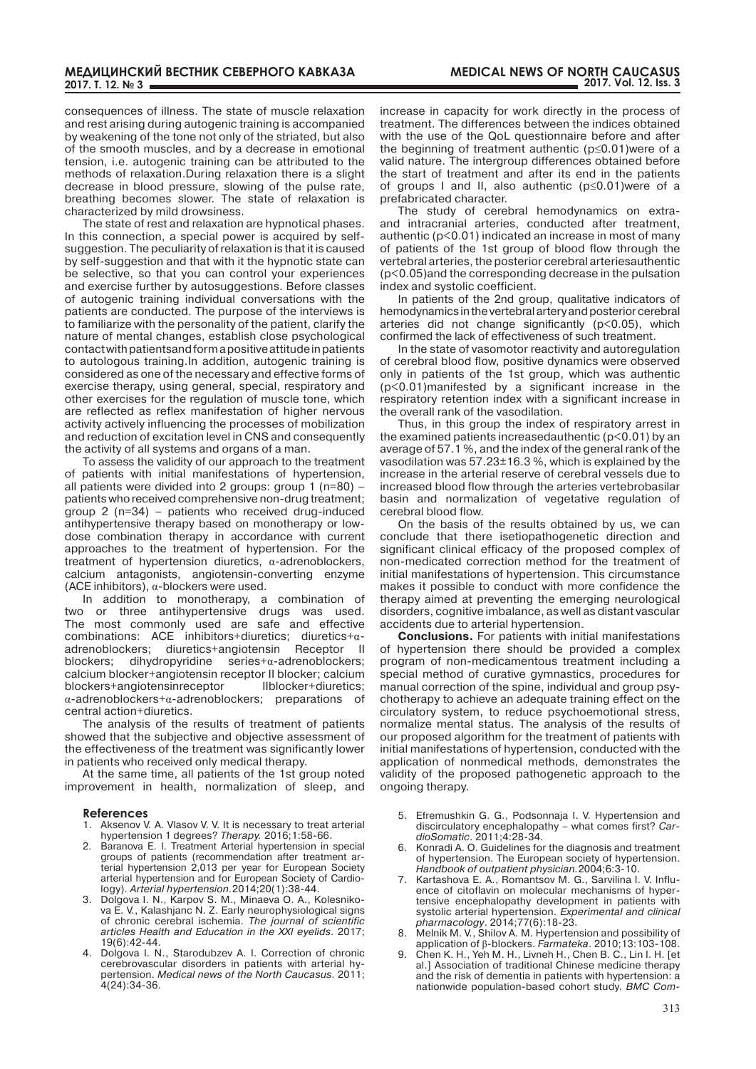consequences of illness. The state of muscle relaxation and rest arising during autogenic training is accompanied by weakening of the tone not only of the striated, but also of the smooth muscles, and by a decrease in emotional tension, i.e. autogenic training can be attributed to the methods of relaxation.During relaxation there is a slight decrease in blood pressure, slowing of the pulse rate, breathing becomes slower. The state of relaxation is characterized by mild drowsiness.

The state of rest and relaxation are hypnotical phases. In this connection, a special power is acquired by selfsuggestion. The peculiarity of relaxation is that it is caused by self-suggestion and that with it the hypnotic state can be selective, so that you can control your experiences and exercise further by autosuggestions. Before classes of autogenic training individual conversations with the patients are conducted. The purpose of the interviews is to familiarize with the personality of the patient, clarify the nature of mental changes, establish close psychological contact with patientsand form a positive attitude in patients to autologous training.In addition, autogenic training is considered as one of the necessary and effective forms of exercise therapy, using general, special, respiratory and other exercises for the regulation of muscle tone, which are reflected as reflex manifestation of higher nervous activity actively influencing the processes of mobilization and reduction of excitation level in CNS and consequently the activity of all systems and organs of a man.

To assess the validity of our approach to the treatment of patients with initial manifestations of hypertension, all patients were divided into 2 groups: group 1 (n=80) – patients who received comprehensive non-drug treatment; group 2 (n=34) – patients who received drug-induced antihypertensive therapy based on monotherapy or lowdose combination therapy in accordance with current approaches to the treatment of hypertension. For the treatment of hypertension diuretics, α-adrenoblockers, calcium antagonists, angiotensin-converting enzyme (ACE inhibitors), α-blockers were used.

In addition to monotherapy, a combination of two or three antihypertensive drugs was used. The most commonly used are safe and effective combinations: ACE inhibitors+diuretics; diuretics+αadrenoblockers; diuretics+angiotensin Receptor II blockers; dihydropyridine series+α-adrenoblockers; calcium blocker+angiotensin receptor II blocker; calcium blockers+angiotensinreceptor IIblocker+diuretics; α-adrenoblockers+α-adrenoblockers; preparations of central action+diuretics.

The analysis of the results of treatment of patients showed that the subjective and objective assessment of the effectiveness of the treatment was significantly lower in patients who received only medical therapy.

At the same time, all patients of the 1st group noted improvement in health, normalization of sleep, and

#### **References**

- Aksenov V. A. Vlasov V. V. It is necessary to treat arterial hypertension 1 degrees? *Therapy.* 2016;1:58-66.
- 2. Baranova E. I. Treatment Arterial hypertension in special groups of patients (recommendation after treatment arterial hypertension 2,013 per year for European Society arterial hypertension and for European Society of Cardiology). *Arterial hypertension.*2014;20(1):38-44.
- 3. Dolgova I. N., Karpov S. M., Minaeva O. A., Kolesnikova E. V., Kalashjanc N. Z. Early neurophysiological signs of chronic cerebral ischemia. *The journal of scientific articles Health and Education in the XXI eyelids*. 2017; 19(6):42-44.
- 4. Dolgova I. N., Starodubzev A. I. Correction of chronic cerebrovascular disorders in patients with arterial hypertension. *Medical news of the North Caucasus*. 2011; 4(24):34-36.

increase in capacity for work directly in the process of treatment. The differences between the indices obtained with the use of the QoL questionnaire before and after the beginning of treatment authentic (p≤0.01)were of a valid nature. The intergroup differences obtained before the start of treatment and after its end in the patients of groups I and II, also authentic (p≤0.01)were of a prefabricated character.

The study of cerebral hemodynamics on extraand intracranial arteries, conducted after treatment, authentic (p<0.01) indicated an increase in most of many of patients of the 1st group of blood flow through the vertebral arteries, the posterior cerebral arteriesauthentic (p<0.05)and the corresponding decrease in the pulsation index and systolic coefficient.

In patients of the 2nd group, qualitative indicators of hemodynamics in the vertebral artery and posterior cerebral arteries did not change significantly  $(p<0.05)$ , which confirmed the lack of effectiveness of such treatment.

In the state of vasomotor reactivity and autoregulation of cerebral blood flow, positive dynamics were observed only in patients of the 1st group, which was authentic (p<0.01)manifested by a significant increase in the respiratory retention index with a significant increase in the overall rank of the vasodilation.

Thus, in this group the index of respiratory arrest in the examined patients increasedauthentic (p<0.01) by an average of 57.1 %, and the index of the general rank of the vasodilation was 57.23±16.3 %, which is explained by the increase in the arterial reserve of cerebral vessels due to increased blood flow through the arteries vertebrobasilar basin and normalization of vegetative regulation of cerebral blood flow.

On the basis of the results obtained by us, we can conclude that there isetiopathogenetic direction and significant clinical efficacy of the proposed complex of non-medicated correction method for the treatment of initial manifestations of hypertension. This circumstance makes it possible to conduct with more confidence the therapy aimed at preventing the emerging neurological disorders, cognitive imbalance, as well as distant vascular accidents due to arterial hypertension.

**Conclusions.** For patients with initial manifestations of hypertension there should be provided a complex program of non-medicamentous treatment including a special method of curative gymnastics, procedures for manual correction of the spine, individual and group psychotherapy to achieve an adequate training effect on the circulatory system, to reduce psychoemotional stress, normalize mental status. The analysis of the results of our proposed algorithm for the treatment of patients with initial manifestations of hypertension, conducted with the application of nonmedical methods, demonstrates the validity of the proposed pathogenetic approach to the ongoing therapy.

- 5. Efremushkin G. G., Podsonnaja I. V. Hypertension and discirculatory encephalopathy – what comes first? *CardioSomatiс*. 2011;4:28-34.
- 6. Konradi A. O. Guidelines for the diagnosis and treatment of hypertension. The European society of hypertension. *Handbook of outpatient physician.*2004;6:3-10.
- 7. Kartashova E. A., Romantsov M. G., Sarvilina I. V. Influence of citoflavin on molecular mechanisms of hypertensive encephalopathy development in patients with systolic arterial hypertension. *Experimental and clinical pharmacology*. 2014;77(6):18-23.
- 8. Melnik M. V., Shilov A. M. Hypertension and possibility of application of β-blockers. *Farmateka*. 2010;13:103-108.
- 9. Chen K. H., Yeh M. H., Livneh H., Chen B. C., Lin I. H. [et al.] Association of traditional Chinese medicine therapy and the risk of dementia in patients with hypertension: a nationwide population-based cohort study. *BMC Com-*